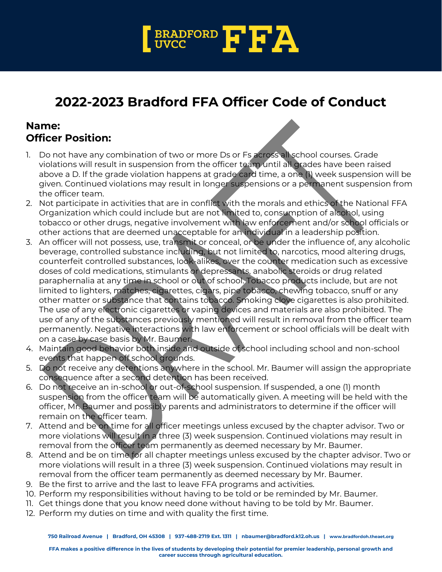

## **2022-2023 Bradford FFA Officer Code of Conduct**

## **Name: Officer Position:**

- 1. Do not have any combination of two or more Ds or Fs across all school courses. Grade violations will result in suspension from the officer team until all grades have been raised above a D. If the grade violation happens at grade card time, a one (1) week suspension will be given. Continued violations may result in longer suspensions or a permanent suspension from the officer team.
- 2. Not participate in activities that are in conflict with the morals and ethics of the National FFA Organization which could include but are not limited to, consumption of alcohol, using tobacco or other drugs, negative involvement with law enforcement and/or school officials or other actions that are deemed unacceptable for an individual in a leadership position.
- 3. An officer will not possess, use, transmit or conceal, or be under the influence of, any alcoholic beverage, controlled substance including, but not limited to, narcotics, mood altering drugs, counterfeit controlled substances, look-alikes, over the counter medication such as excessive doses of cold medications, stimulants or depressants, anabolic steroids or drug related paraphernalia at any time in school or out of school. Tobacco products include, but are not limited to lighters, matches, cigarettes, cigars, pipe tobacco, chewing tobacco, snuff or any other matter or substance that contains tobacco. Smoking clove cigarettes is also prohibited. The use of any electronic cigarettes or vaping devices and materials are also prohibited. The use of any of the substances previously mentioned will result in removal from the officer team permanently. Negative interactions with law enforcement or school officials will be dealt with on a case by case basis by Mr. Baumer.
- 4. Maintain good behavior both inside and outside of school including school and non-school events that happen off school grounds.
- 5. Do not receive any detentions anywhere in the school. Mr. Baumer will assign the appropriate consequence after a second detention has been received.
- 6. Do not receive an in-school or out-of-school suspension. If suspended, a one (1) month suspension from the officer team will be automatically given. A meeting will be held with the officer, Mr. Baumer and possibly parents and administrators to determine if the officer will remain on the officer team.
- 7. Attend and be on time for all officer meetings unless excused by the chapter advisor. Two or more violations will result in a three (3) week suspension. Continued violations may result in removal from the officer team permanently as deemed necessary by Mr. Baumer.
- 8. Attend and be on time for all chapter meetings unless excused by the chapter advisor. Two or more violations will result in a three (3) week suspension. Continued violations may result in removal from the officer team permanently as deemed necessary by Mr. Baumer.
- 9. Be the first to arrive and the last to leave FFA programs and activities.
- 10. Perform my responsibilities without having to be told or be reminded by Mr. Baumer.
- 11. Get things done that you know need done without having to be told by Mr. Baumer.
- 12. Perform my duties on time and with quality the first time.